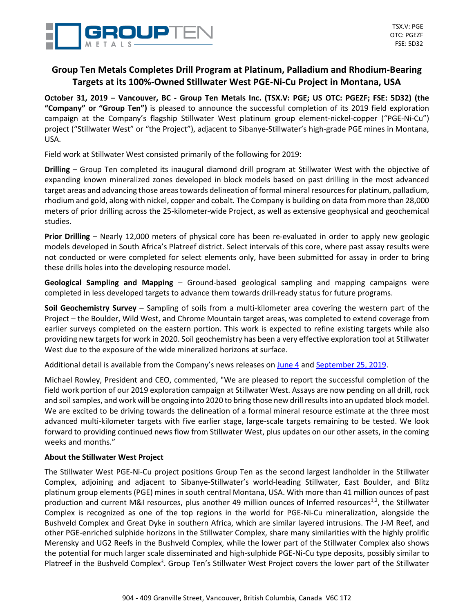

# **Group Ten Metals Completes Drill Program at Platinum, Palladium and Rhodium-Bearing Targets at its 100%-Owned Stillwater West PGE-Ni-Cu Project in Montana, USA**

October 31, 2019 - Vancouver, BC - Group Ten Metals Inc. (TSX.V: PGE; US OTC: PGEZF; FSE: 5D32) (the **"Company" or "Group Ten")** is pleased to announce the successful completion of its 2019 field exploration campaign at the Company's flagship Stillwater West platinum group element-nickel-copper ("PGE-Ni-Cu") project ("Stillwater West" or "the Project"), adjacent to Sibanye-Stillwater's high-grade PGE mines in Montana, USA.

Field work at Stillwater West consisted primarily of the following for 2019:

**Drilling** – Group Ten completed its inaugural diamond drill program at Stillwater West with the objective of expanding known mineralized zones developed in block models based on past drilling in the most advanced target areas and advancing those areas towards delineation of formal mineral resources for platinum, palladium, rhodium and gold, along with nickel, copper and cobalt. The Company is building on data from more than 28,000 meters of prior drilling across the 25-kilometer-wide Project, as well as extensive geophysical and geochemical studies.

**Prior Drilling** – Nearly 12,000 meters of physical core has been re-evaluated in order to apply new geologic models developed in South Africa's Platreef district. Select intervals of this core, where past assay results were not conducted or were completed for select elements only, have been submitted for assay in order to bring these drills holes into the developing resource model.

**Geological Sampling and Mapping** – Ground-based geological sampling and mapping campaigns were completed in less developed targets to advance them towards drill-ready status for future programs.

**Soil Geochemistry Survey** – Sampling of soils from a multi-kilometer area covering the western part of the Project – the Boulder, Wild West, and Chrome Mountain target areas, was completed to extend coverage from earlier surveys completed on the eastern portion. This work is expected to refine existing targets while also providing new targets for work in 2020. Soil geochemistry has been a very effective exploration tool at Stillwater West due to the exposure of the wide mineralized horizons at surface.

Additional detail is available from the Company's news releases on [June](https://grouptenmetals.com/news/2019/group-ten-announces-drill-plans-for-2019-including-testing-of-kilometer-scale-magmatic-targets-identified-in-3d-modelling-at/) 4 and [September](https://grouptenmetals.com/news/2019/group-ten-metals-provides-exploration-update-including-drilling-progress-at-stillwater-west-pge-ni-cu-project-in-montana-usa/) 25, 2019.

Michael Rowley, President and CEO, commented, "We are pleased to report the successful completion of the field work portion of our 2019 exploration campaign at Stillwater West. Assays are now pending on all drill, rock and soil samples, and work will be ongoing into 2020 to bring those new drill results into an updated block model. We are excited to be driving towards the delineation of a formal mineral resource estimate at the three most advanced multi-kilometer targets with five earlier stage, large-scale targets remaining to be tested. We look forward to providing continued news flow from Stillwater West, plus updates on our other assets, in the coming weeks and months."

## **About the Stillwater West Project**

The Stillwater West PGE-Ni-Cu project positions Group Ten as the second largest landholder in the Stillwater Complex, adjoining and adjacent to Sibanye-Stillwater's world-leading Stillwater, East Boulder, and Blitz platinum group elements (PGE) mines in south central Montana, USA. With more than 41 million ounces of past production and current M&I resources, plus another 49 million ounces of Inferred resources<sup>1,2</sup>, the Stillwater Complex is recognized as one of the top regions in the world for PGE-Ni-Cu mineralization, alongside the Bushveld Complex and Great Dyke in southern Africa, which are similar layered intrusions. The J-M Reef, and other PGE-enriched sulphide horizons in the Stillwater Complex, share many similarities with the highly prolific Merensky and UG2 Reefs in the Bushveld Complex, while the lower part of the Stillwater Complex also shows the potential for much larger scale disseminated and high-sulphide PGE-Ni-Cu type deposits, possibly similar to Platreef in the Bushveld Complex<sup>3</sup>. Group Ten's Stillwater West Project covers the lower part of the Stillwater